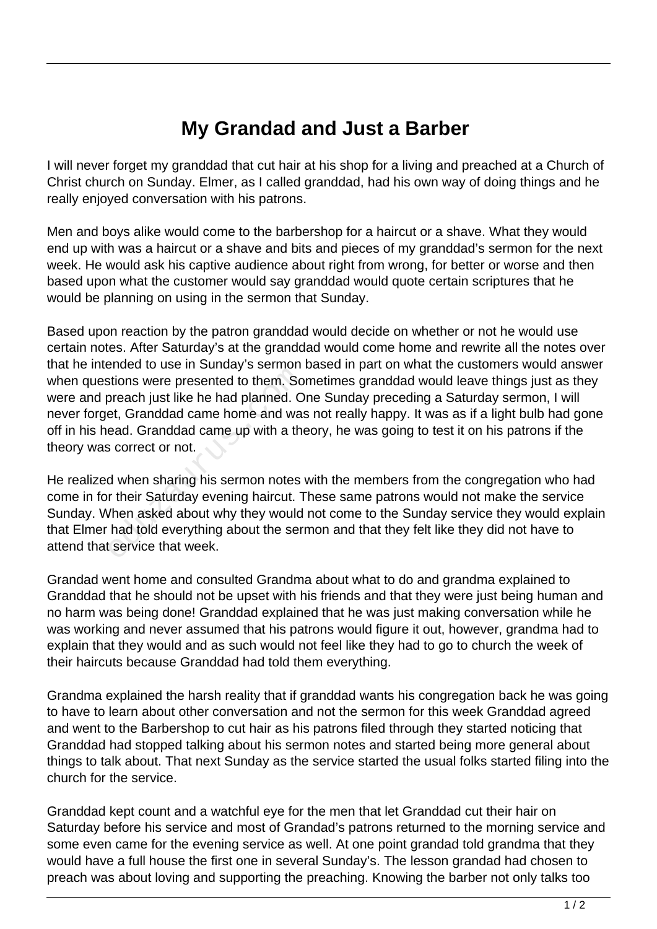## **My Grandad and Just a Barber**

I will never forget my granddad that cut hair at his shop for a living and preached at a Church of Christ church on Sunday. Elmer, as I called granddad, had his own way of doing things and he really enjoyed conversation with his patrons.

Men and boys alike would come to the barbershop for a haircut or a shave. What they would end up with was a haircut or a shave and bits and pieces of my granddad's sermon for the next week. He would ask his captive audience about right from wrong, for better or worse and then based upon what the customer would say granddad would quote certain scriptures that he would be planning on using in the sermon that Sunday.

Based upon reaction by the patron granddad would decide on whether or not he would use certain notes. After Saturday's at the granddad would come home and rewrite all the notes over that he intended to use in Sunday's sermon based in part on what the customers would answer when questions were presented to them. Sometimes granddad would leave things just as they were and preach just like he had planned. One Sunday preceding a Saturday sermon, I will never forget, Granddad came home and was not really happy. It was as if a light bulb had gone off in his head. Granddad came up with a theory, he was going to test it on his patrons if the theory was correct or not. France were presented to them. So<br>preach just like he had planned. O<br>et, Granddad came home and was<br>ead. Granddad came up with a the<br>scorrect or not.<br>d when sharing his sermon notes<br>r their Saturday evening haircut. T<br>/hen

He realized when sharing his sermon notes with the members from the congregation who had come in for their Saturday evening haircut. These same patrons would not make the service Sunday. When asked about why they would not come to the Sunday service they would explain that Elmer had told everything about the sermon and that they felt like they did not have to attend that service that week.

Grandad went home and consulted Grandma about what to do and grandma explained to Granddad that he should not be upset with his friends and that they were just being human and no harm was being done! Granddad explained that he was just making conversation while he was working and never assumed that his patrons would figure it out, however, grandma had to explain that they would and as such would not feel like they had to go to church the week of their haircuts because Granddad had told them everything.

Grandma explained the harsh reality that if granddad wants his congregation back he was going to have to learn about other conversation and not the sermon for this week Granddad agreed and went to the Barbershop to cut hair as his patrons filed through they started noticing that Granddad had stopped talking about his sermon notes and started being more general about things to talk about. That next Sunday as the service started the usual folks started filing into the church for the service.

Granddad kept count and a watchful eye for the men that let Granddad cut their hair on Saturday before his service and most of Grandad's patrons returned to the morning service and some even came for the evening service as well. At one point grandad told grandma that they would have a full house the first one in several Sunday's. The lesson grandad had chosen to preach was about loving and supporting the preaching. Knowing the barber not only talks too